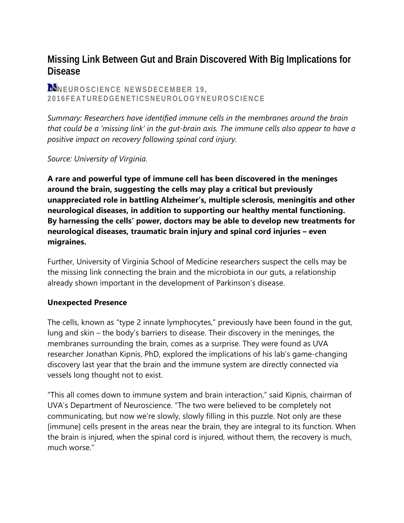# **Missing Link Between Gut and Brain Discovered With Big Implications for Disease**

# **N**NEUROSCIENCE NEWSDECEMBER 19, **2016FEATUREDGENETICSNEUROLOGYNEUROSCIENCE**

*Summary: Researchers have identified immune cells in the membranes around the brain that could be a 'missing link' in the gut-brain axis. The immune cells also appear to have a positive impact on recovery following spinal cord injury.*

*Source: University of Virginia.*

**A rare and powerful type of immune cell has been discovered in the meninges around the brain, suggesting the cells may play a critical but previously unappreciated role in battling Alzheimer's, multiple sclerosis, meningitis and other neurological diseases, in addition to supporting our healthy mental functioning. By harnessing the cells' power, doctors may be able to develop new treatments for neurological diseases, traumatic brain injury and spinal cord injuries – even migraines.**

Further, University of Virginia School of Medicine researchers suspect the cells may be the missing link connecting the brain and the microbiota in our guts, a relationship already shown important in the development of Parkinson's disease.

## **Unexpected Presence**

The cells, known as "type 2 innate lymphocytes," previously have been found in the gut, lung and skin – the body's barriers to disease. Their discovery in the meninges, the membranes surrounding the brain, comes as a surprise. They were found as UVA researcher Jonathan Kipnis, PhD, explored the implications of his lab's game-changing discovery last year that the brain and the immune system are directly connected via vessels long thought not to exist.

"This all comes down to immune system and brain interaction," said Kipnis, chairman of UVA's Department of Neuroscience. "The two were believed to be completely not communicating, but now we're slowly, slowly filling in this puzzle. Not only are these [immune] cells present in the areas near the brain, they are integral to its function. When the brain is injured, when the spinal cord is injured, without them, the recovery is much, much worse."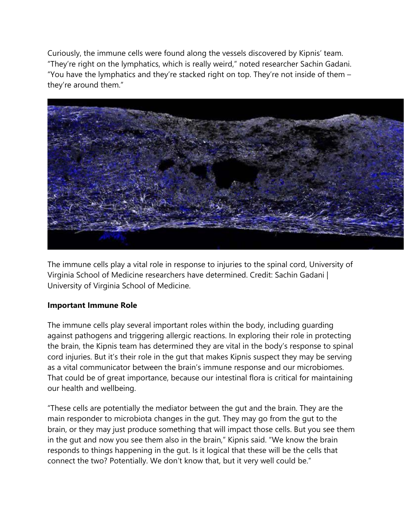Curiously, the immune cells were found along the vessels discovered by Kipnis' team. "They're right on the lymphatics, which is really weird," noted researcher Sachin Gadani. "You have the lymphatics and they're stacked right on top. They're not inside of them  $$ they're around them."



The immune cells play a vital role in response to injuries to the spinal cord, University of Virginia School of Medicine researchers have determined. Credit: Sachin Gadani | University of Virginia School of Medicine.

#### **Important Immune Role**

The immune cells play several important roles within the body, including guarding against pathogens and triggering allergic reactions. In exploring their role in protecting the brain, the Kipnis team has determined they are vital in the body's response to spinal cord injuries. But it's their role in the gut that makes Kipnis suspect they may be serving as a vital communicator between the brain's immune response and our microbiomes. That could be of great importance, because our intestinal flora is critical for maintaining our health and wellbeing.

"These cells are potentially the mediator between the gut and the brain. They are the main responder to microbiota changes in the gut. They may go from the gut to the brain, or they may just produce something that will impact those cells. But you see them in the gut and now you see them also in the brain," Kipnis said. "We know the brain responds to things happening in the gut. Is it logical that these will be the cells that connect the two? Potentially. We don't know that, but it very well could be."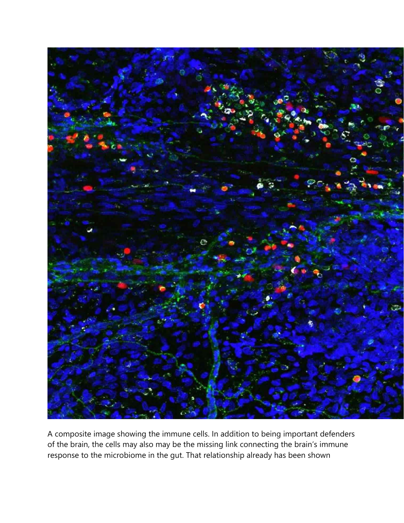

A composite image showing the immune cells. In addition to being important defenders of the brain, the cells may also may be the missing link connecting the brain's immune response to the microbiome in the gut. That relationship already has been shown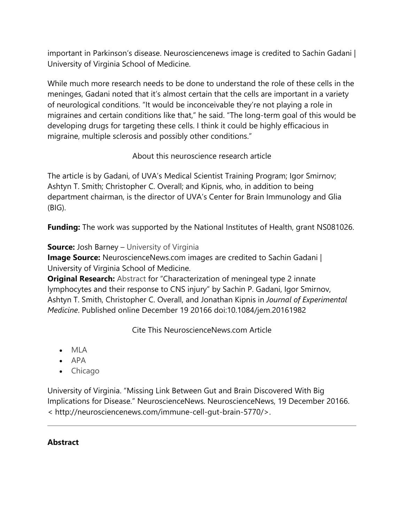important in Parkinson's disease. Neurosciencenews image is credited to Sachin Gadani | University of Virginia School of Medicine.

While much more research needs to be done to understand the role of these cells in the meninges, Gadani noted that it's almost certain that the cells are important in a variety of neurological conditions. "It would be inconceivable they're not playing a role in migraines and certain conditions like that," he said. "The long-term goal of this would be developing drugs for targeting these cells. I think it could be highly efficacious in migraine, multiple sclerosis and possibly other conditions."

About this neuroscience research article

The article is by Gadani, of UVA's Medical Scientist Training Program; Igor Smirnov; Ashtyn T. Smith; Christopher C. Overall; and Kipnis, who, in addition to being department chairman, is the director of UVA's Center for Brain Immunology and Glia (BIG).

**Funding:** The work was supported by the National Institutes of Health, grant NS081026.

**Source:** Josh Barney – University of Virginia

**Image Source:** NeuroscienceNews.com images are credited to Sachin Gadani | University of Virginia School of Medicine.

**Original Research:** Abstract for "Characterization of meningeal type 2 innate lymphocytes and their response to CNS injury" by Sachin P. Gadani, Igor Smirnov, Ashtyn T. Smith, Christopher C. Overall, and Jonathan Kipnis in *Journal of Experimental Medicine*. Published online December 19 20166 doi:10.1084/jem.20161982

Cite This NeuroscienceNews.com Article

- MLA
- $APA$
- Chicago

University of Virginia. "Missing Link Between Gut and Brain Discovered With Big Implications for Disease." NeuroscienceNews. NeuroscienceNews, 19 December 20166. < http://neurosciencenews.com/immune-cell-gut-brain-5770/>.

## **Abstract**